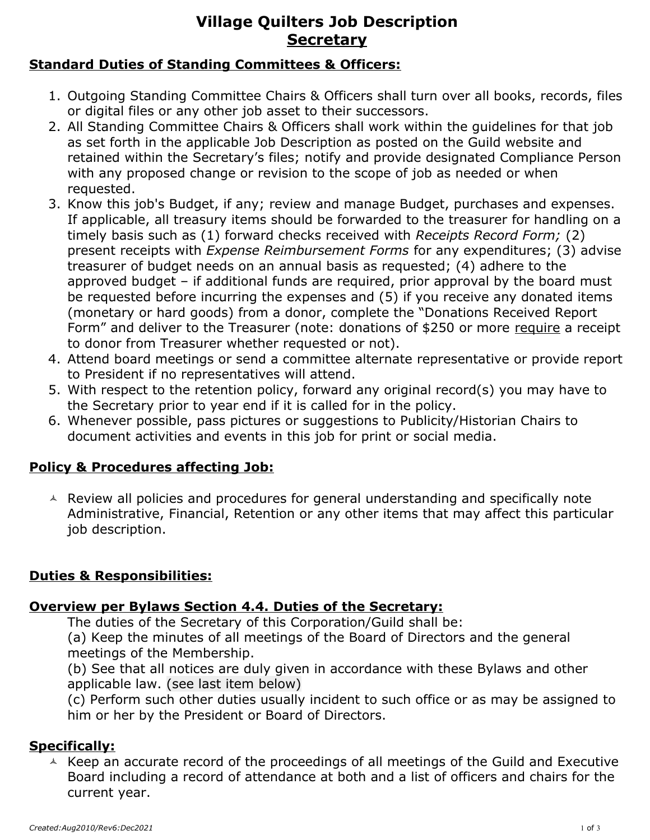# **Village Quilters Job Description Secretary**

#### **Standard Duties of Standing Committees & Officers:**

- 1. Outgoing Standing Committee Chairs & Officers shall turn over all books, records, files or digital files or any other job asset to their successors.
- 2. All Standing Committee Chairs & Officers shall work within the guidelines for that job as set forth in the applicable Job Description as posted on the Guild website and retained within the Secretary's files; notify and provide designated Compliance Person with any proposed change or revision to the scope of job as needed or when requested.
- 3. Know this job's Budget, if any; review and manage Budget, purchases and expenses. If applicable, all treasury items should be forwarded to the treasurer for handling on a timely basis such as (1) forward checks received with *Receipts Record Form;* (2) present receipts with *Expense Reimbursement Forms* for any expenditures; (3) advise treasurer of budget needs on an annual basis as requested; (4) adhere to the approved budget – if additional funds are required, prior approval by the board must be requested before incurring the expenses and (5) if you receive any donated items (monetary or hard goods) from a donor, complete the "Donations Received Report Form" and deliver to the Treasurer (note: donations of \$250 or more require a receipt to donor from Treasurer whether requested or not).
- 4. Attend board meetings or send a committee alternate representative or provide report to President if no representatives will attend.
- 5. With respect to the retention policy, forward any original record(s) you may have to the Secretary prior to year end if it is called for in the policy.
- 6. Whenever possible, pass pictures or suggestions to Publicity/Historian Chairs to document activities and events in this job for print or social media.

#### **Policy & Procedures affecting Job:**

 $\triangle$  Review all policies and procedures for general understanding and specifically note Administrative, Financial, Retention or any other items that may affect this particular job description.

#### **Duties & Responsibilities:**

#### **Overview per Bylaws Section 4.4. Duties of the Secretary:**

The duties of the Secretary of this Corporation/Guild shall be:

(a) Keep the minutes of all meetings of the Board of Directors and the general meetings of the Membership.

(b) See that all notices are duly given in accordance with these Bylaws and other applicable law. (see last item below)

(c) Perform such other duties usually incident to such office or as may be assigned to him or her by the President or Board of Directors.

#### **Specifically:**

 $\triangle$  Keep an accurate record of the proceedings of all meetings of the Guild and Executive Board including a record of attendance at both and a list of officers and chairs for the current year.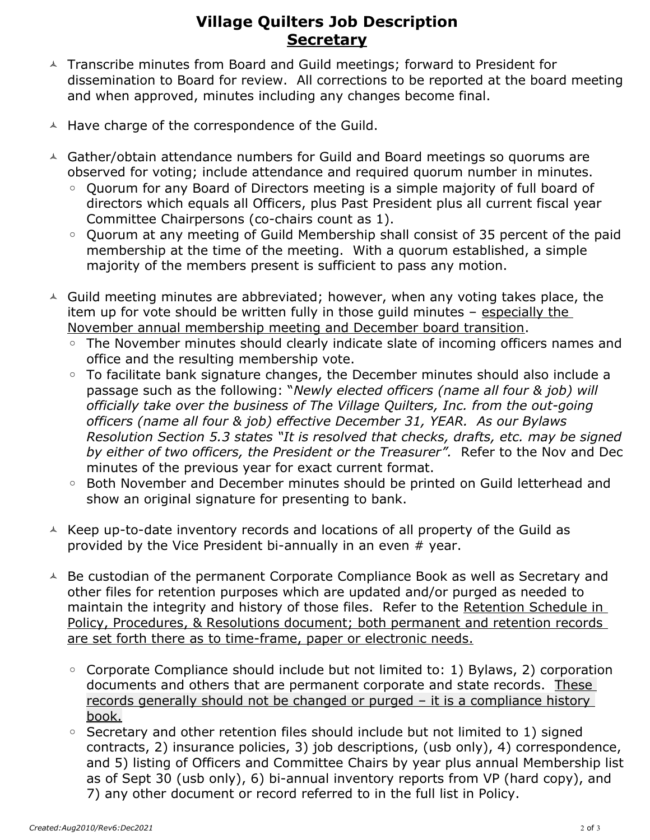## **Village Quilters Job Description Secretary**

- $\triangle$  Transcribe minutes from Board and Guild meetings; forward to President for dissemination to Board for review. All corrections to be reported at the board meeting and when approved, minutes including any changes become final.
- $\triangle$  Have charge of the correspondence of the Guild.
- Gather/obtain attendance numbers for Guild and Board meetings so quorums are observed for voting; include attendance and required quorum number in minutes.
	- Quorum for any Board of Directors meeting is a simple majority of full board of directors which equals all Officers, plus Past President plus all current fiscal year Committee Chairpersons (co-chairs count as 1).
	- Quorum at any meeting of Guild Membership shall consist of 35 percent of the paid membership at the time of the meeting. With a quorum established, a simple majority of the members present is sufficient to pass any motion.
- $\triangle$  Guild meeting minutes are abbreviated; however, when any voting takes place, the item up for vote should be written fully in those guild minutes - especially the November annual membership meeting and December board transition.
	- The November minutes should clearly indicate slate of incoming officers names and office and the resulting membership vote.
	- To facilitate bank signature changes, the December minutes should also include a passage such as the following: "*Newly elected officers (name all four & job) will officially take over the business of The Village Quilters, Inc. from the out-going officers (name all four & job) effective December 31, YEAR. As our Bylaws Resolution Section 5.3 states "It is resolved that checks, drafts, etc. may be signed by either of two officers, the President or the Treasurer".* Refer to the Nov and Dec minutes of the previous year for exact current format.
	- Both November and December minutes should be printed on Guild letterhead and show an original signature for presenting to bank.
- $\overline{\phantom{a}}$  Keep up-to-date inventory records and locations of all property of the Guild as provided by the Vice President bi-annually in an even # year.
- $\triangle$  Be custodian of the permanent Corporate Compliance Book as well as Secretary and other files for retention purposes which are updated and/or purged as needed to maintain the integrity and history of those files. Refer to the Retention Schedule in Policy, Procedures, & Resolutions document; both permanent and retention records are set forth there as to time-frame, paper or electronic needs.
	- Corporate Compliance should include but not limited to: 1) Bylaws, 2) corporation documents and others that are permanent corporate and state records. These records generally should not be changed or purged – it is a compliance history book.
	- Secretary and other retention files should include but not limited to 1) signed contracts, 2) insurance policies, 3) job descriptions, (usb only), 4) correspondence, and 5) listing of Officers and Committee Chairs by year plus annual Membership list as of Sept 30 (usb only), 6) bi-annual inventory reports from VP (hard copy), and 7) any other document or record referred to in the full list in Policy.